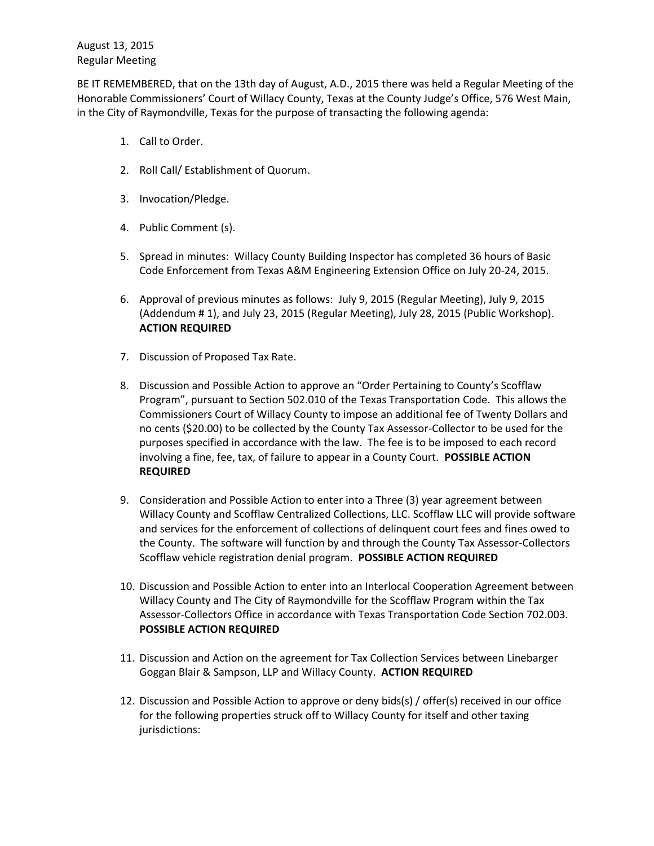BE IT REMEMBERED, that on the 13th day of August, A.D., 2015 there was held a Regular Meeting of the Honorable Commissioners' Court of Willacy County, Texas at the County Judge's Office, 576 West Main, in the City of Raymondville, Texas for the purpose of transacting the following agenda:

- 1. Call to Order.
- 2. Roll Call/ Establishment of Quorum.
- 3. Invocation/Pledge.
- 4. Public Comment (s).
- 5. Spread in minutes: Willacy County Building Inspector has completed 36 hours of Basic Code Enforcement from Texas A&M Engineering Extension Office on July 20-24, 2015.
- 6. Approval of previous minutes as follows: July 9, 2015 (Regular Meeting), July 9, 2015 (Addendum # 1), and July 23, 2015 (Regular Meeting), July 28, 2015 (Public Workshop). **ACTION REQUIRED**
- 7. Discussion of Proposed Tax Rate.
- 8. Discussion and Possible Action to approve an "Order Pertaining to County's Scofflaw Program", pursuant to Section 502.010 of the Texas Transportation Code. This allows the Commissioners Court of Willacy County to impose an additional fee of Twenty Dollars and no cents (\$20.00) to be collected by the County Tax Assessor-Collector to be used for the purposes specified in accordance with the law. The fee is to be imposed to each record involving a fine, fee, tax, of failure to appear in a County Court. **POSSIBLE ACTION REQUIRED**
- 9. Consideration and Possible Action to enter into a Three (3) year agreement between Willacy County and Scofflaw Centralized Collections, LLC. Scofflaw LLC will provide software and services for the enforcement of collections of delinquent court fees and fines owed to the County. The software will function by and through the County Tax Assessor-Collectors Scofflaw vehicle registration denial program. **POSSIBLE ACTION REQUIRED**
- 10. Discussion and Possible Action to enter into an Interlocal Cooperation Agreement between Willacy County and The City of Raymondville for the Scofflaw Program within the Tax Assessor-Collectors Office in accordance with Texas Transportation Code Section 702.003. **POSSIBLE ACTION REQUIRED**
- 11. Discussion and Action on the agreement for Tax Collection Services between Linebarger Goggan Blair & Sampson, LLP and Willacy County. **ACTION REQUIRED**
- 12. Discussion and Possible Action to approve or deny bids(s) / offer(s) received in our office for the following properties struck off to Willacy County for itself and other taxing jurisdictions: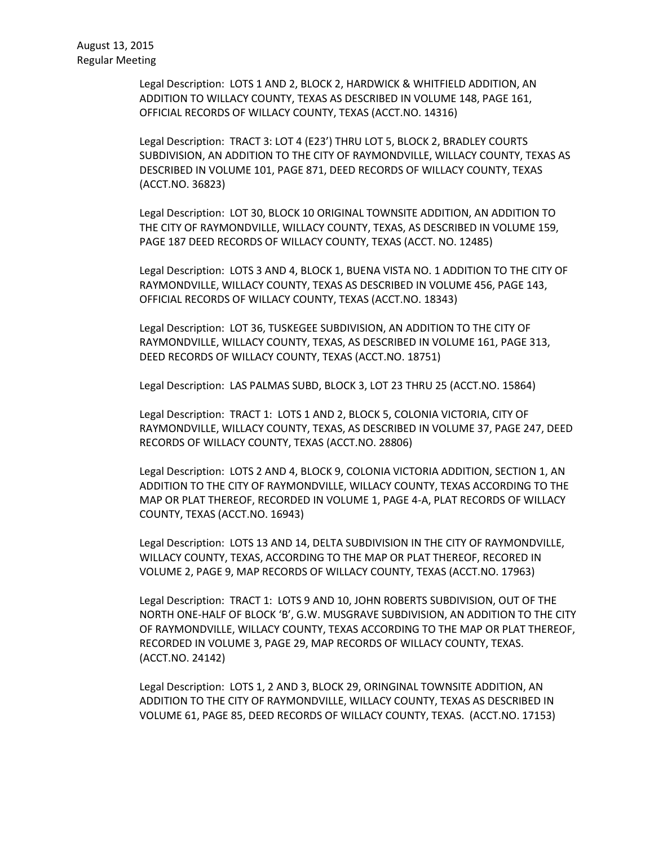Legal Description: LOTS 1 AND 2, BLOCK 2, HARDWICK & WHITFIELD ADDITION, AN ADDITION TO WILLACY COUNTY, TEXAS AS DESCRIBED IN VOLUME 148, PAGE 161, OFFICIAL RECORDS OF WILLACY COUNTY, TEXAS (ACCT.NO. 14316)

Legal Description: TRACT 3: LOT 4 (E23') THRU LOT 5, BLOCK 2, BRADLEY COURTS SUBDIVISION, AN ADDITION TO THE CITY OF RAYMONDVILLE, WILLACY COUNTY, TEXAS AS DESCRIBED IN VOLUME 101, PAGE 871, DEED RECORDS OF WILLACY COUNTY, TEXAS (ACCT.NO. 36823)

Legal Description: LOT 30, BLOCK 10 ORIGINAL TOWNSITE ADDITION, AN ADDITION TO THE CITY OF RAYMONDVILLE, WILLACY COUNTY, TEXAS, AS DESCRIBED IN VOLUME 159, PAGE 187 DEED RECORDS OF WILLACY COUNTY, TEXAS (ACCT. NO. 12485)

Legal Description: LOTS 3 AND 4, BLOCK 1, BUENA VISTA NO. 1 ADDITION TO THE CITY OF RAYMONDVILLE, WILLACY COUNTY, TEXAS AS DESCRIBED IN VOLUME 456, PAGE 143, OFFICIAL RECORDS OF WILLACY COUNTY, TEXAS (ACCT.NO. 18343)

Legal Description: LOT 36, TUSKEGEE SUBDIVISION, AN ADDITION TO THE CITY OF RAYMONDVILLE, WILLACY COUNTY, TEXAS, AS DESCRIBED IN VOLUME 161, PAGE 313, DEED RECORDS OF WILLACY COUNTY, TEXAS (ACCT.NO. 18751)

Legal Description: LAS PALMAS SUBD, BLOCK 3, LOT 23 THRU 25 (ACCT.NO. 15864)

Legal Description: TRACT 1: LOTS 1 AND 2, BLOCK 5, COLONIA VICTORIA, CITY OF RAYMONDVILLE, WILLACY COUNTY, TEXAS, AS DESCRIBED IN VOLUME 37, PAGE 247, DEED RECORDS OF WILLACY COUNTY, TEXAS (ACCT.NO. 28806)

Legal Description: LOTS 2 AND 4, BLOCK 9, COLONIA VICTORIA ADDITION, SECTION 1, AN ADDITION TO THE CITY OF RAYMONDVILLE, WILLACY COUNTY, TEXAS ACCORDING TO THE MAP OR PLAT THEREOF, RECORDED IN VOLUME 1, PAGE 4-A, PLAT RECORDS OF WILLACY COUNTY, TEXAS (ACCT.NO. 16943)

Legal Description: LOTS 13 AND 14, DELTA SUBDIVISION IN THE CITY OF RAYMONDVILLE, WILLACY COUNTY, TEXAS, ACCORDING TO THE MAP OR PLAT THEREOF, RECORED IN VOLUME 2, PAGE 9, MAP RECORDS OF WILLACY COUNTY, TEXAS (ACCT.NO. 17963)

Legal Description: TRACT 1: LOTS 9 AND 10, JOHN ROBERTS SUBDIVISION, OUT OF THE NORTH ONE-HALF OF BLOCK 'B', G.W. MUSGRAVE SUBDIVISION, AN ADDITION TO THE CITY OF RAYMONDVILLE, WILLACY COUNTY, TEXAS ACCORDING TO THE MAP OR PLAT THEREOF, RECORDED IN VOLUME 3, PAGE 29, MAP RECORDS OF WILLACY COUNTY, TEXAS. (ACCT.NO. 24142)

Legal Description: LOTS 1, 2 AND 3, BLOCK 29, ORINGINAL TOWNSITE ADDITION, AN ADDITION TO THE CITY OF RAYMONDVILLE, WILLACY COUNTY, TEXAS AS DESCRIBED IN VOLUME 61, PAGE 85, DEED RECORDS OF WILLACY COUNTY, TEXAS. (ACCT.NO. 17153)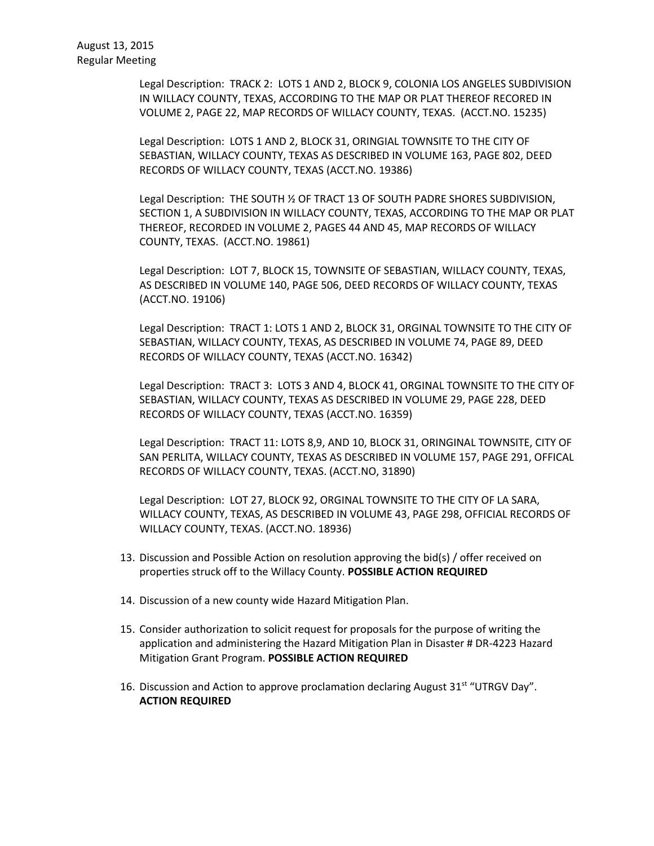Legal Description: TRACK 2: LOTS 1 AND 2, BLOCK 9, COLONIA LOS ANGELES SUBDIVISION IN WILLACY COUNTY, TEXAS, ACCORDING TO THE MAP OR PLAT THEREOF RECORED IN VOLUME 2, PAGE 22, MAP RECORDS OF WILLACY COUNTY, TEXAS. (ACCT.NO. 15235)

Legal Description: LOTS 1 AND 2, BLOCK 31, ORINGIAL TOWNSITE TO THE CITY OF SEBASTIAN, WILLACY COUNTY, TEXAS AS DESCRIBED IN VOLUME 163, PAGE 802, DEED RECORDS OF WILLACY COUNTY, TEXAS (ACCT.NO. 19386)

Legal Description: THE SOUTH ½ OF TRACT 13 OF SOUTH PADRE SHORES SUBDIVISION, SECTION 1, A SUBDIVISION IN WILLACY COUNTY, TEXAS, ACCORDING TO THE MAP OR PLAT THEREOF, RECORDED IN VOLUME 2, PAGES 44 AND 45, MAP RECORDS OF WILLACY COUNTY, TEXAS. (ACCT.NO. 19861)

Legal Description: LOT 7, BLOCK 15, TOWNSITE OF SEBASTIAN, WILLACY COUNTY, TEXAS, AS DESCRIBED IN VOLUME 140, PAGE 506, DEED RECORDS OF WILLACY COUNTY, TEXAS (ACCT.NO. 19106)

Legal Description: TRACT 1: LOTS 1 AND 2, BLOCK 31, ORGINAL TOWNSITE TO THE CITY OF SEBASTIAN, WILLACY COUNTY, TEXAS, AS DESCRIBED IN VOLUME 74, PAGE 89, DEED RECORDS OF WILLACY COUNTY, TEXAS (ACCT.NO. 16342)

Legal Description: TRACT 3: LOTS 3 AND 4, BLOCK 41, ORGINAL TOWNSITE TO THE CITY OF SEBASTIAN, WILLACY COUNTY, TEXAS AS DESCRIBED IN VOLUME 29, PAGE 228, DEED RECORDS OF WILLACY COUNTY, TEXAS (ACCT.NO. 16359)

Legal Description: TRACT 11: LOTS 8,9, AND 10, BLOCK 31, ORINGINAL TOWNSITE, CITY OF SAN PERLITA, WILLACY COUNTY, TEXAS AS DESCRIBED IN VOLUME 157, PAGE 291, OFFICAL RECORDS OF WILLACY COUNTY, TEXAS. (ACCT.NO, 31890)

Legal Description: LOT 27, BLOCK 92, ORGINAL TOWNSITE TO THE CITY OF LA SARA, WILLACY COUNTY, TEXAS, AS DESCRIBED IN VOLUME 43, PAGE 298, OFFICIAL RECORDS OF WILLACY COUNTY, TEXAS. (ACCT.NO. 18936)

- 13. Discussion and Possible Action on resolution approving the bid(s) / offer received on properties struck off to the Willacy County. **POSSIBLE ACTION REQUIRED**
- 14. Discussion of a new county wide Hazard Mitigation Plan.
- 15. Consider authorization to solicit request for proposals for the purpose of writing the application and administering the Hazard Mitigation Plan in Disaster # DR-4223 Hazard Mitigation Grant Program. **POSSIBLE ACTION REQUIRED**
- 16. Discussion and Action to approve proclamation declaring August 31<sup>st</sup> "UTRGV Day". **ACTION REQUIRED**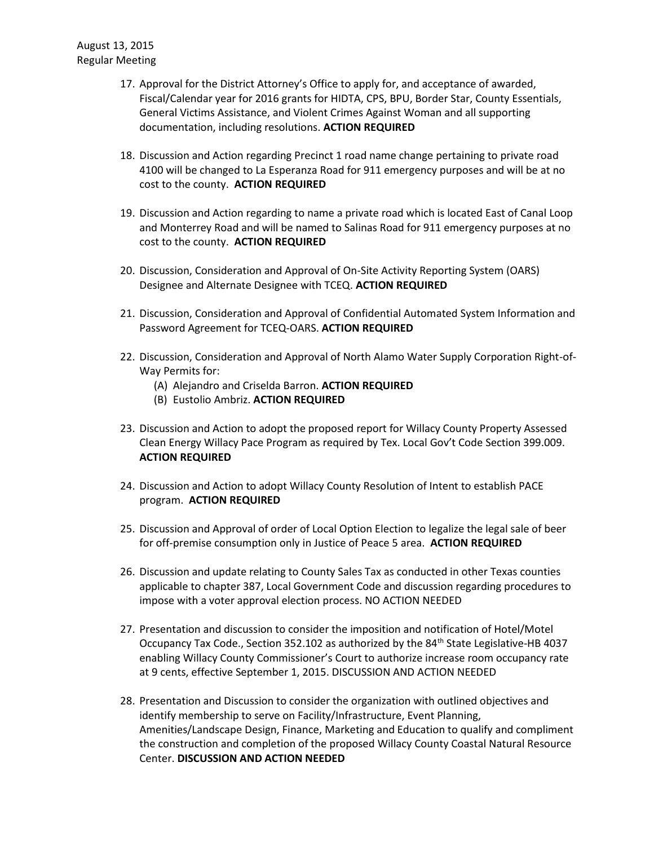- 17. Approval for the District Attorney's Office to apply for, and acceptance of awarded, Fiscal/Calendar year for 2016 grants for HIDTA, CPS, BPU, Border Star, County Essentials, General Victims Assistance, and Violent Crimes Against Woman and all supporting documentation, including resolutions. **ACTION REQUIRED**
- 18. Discussion and Action regarding Precinct 1 road name change pertaining to private road 4100 will be changed to La Esperanza Road for 911 emergency purposes and will be at no cost to the county. **ACTION REQUIRED**
- 19. Discussion and Action regarding to name a private road which is located East of Canal Loop and Monterrey Road and will be named to Salinas Road for 911 emergency purposes at no cost to the county. **ACTION REQUIRED**
- 20. Discussion, Consideration and Approval of On-Site Activity Reporting System (OARS) Designee and Alternate Designee with TCEQ. **ACTION REQUIRED**
- 21. Discussion, Consideration and Approval of Confidential Automated System Information and Password Agreement for TCEQ-OARS. **ACTION REQUIRED**
- 22. Discussion, Consideration and Approval of North Alamo Water Supply Corporation Right-of-Way Permits for:
	- (A) Alejandro and Criselda Barron. **ACTION REQUIRED**
	- (B) Eustolio Ambriz. **ACTION REQUIRED**
- 23. Discussion and Action to adopt the proposed report for Willacy County Property Assessed Clean Energy Willacy Pace Program as required by Tex. Local Gov't Code Section 399.009. **ACTION REQUIRED**
- 24. Discussion and Action to adopt Willacy County Resolution of Intent to establish PACE program. **ACTION REQUIRED**
- 25. Discussion and Approval of order of Local Option Election to legalize the legal sale of beer for off-premise consumption only in Justice of Peace 5 area. **ACTION REQUIRED**
- 26. Discussion and update relating to County Sales Tax as conducted in other Texas counties applicable to chapter 387, Local Government Code and discussion regarding procedures to impose with a voter approval election process. NO ACTION NEEDED
- 27. Presentation and discussion to consider the imposition and notification of Hotel/Motel Occupancy Tax Code., Section 352.102 as authorized by the 84th State Legislative-HB 4037 enabling Willacy County Commissioner's Court to authorize increase room occupancy rate at 9 cents, effective September 1, 2015. DISCUSSION AND ACTION NEEDED
- 28. Presentation and Discussion to consider the organization with outlined objectives and identify membership to serve on Facility/Infrastructure, Event Planning, Amenities/Landscape Design, Finance, Marketing and Education to qualify and compliment the construction and completion of the proposed Willacy County Coastal Natural Resource Center. **DISCUSSION AND ACTION NEEDED**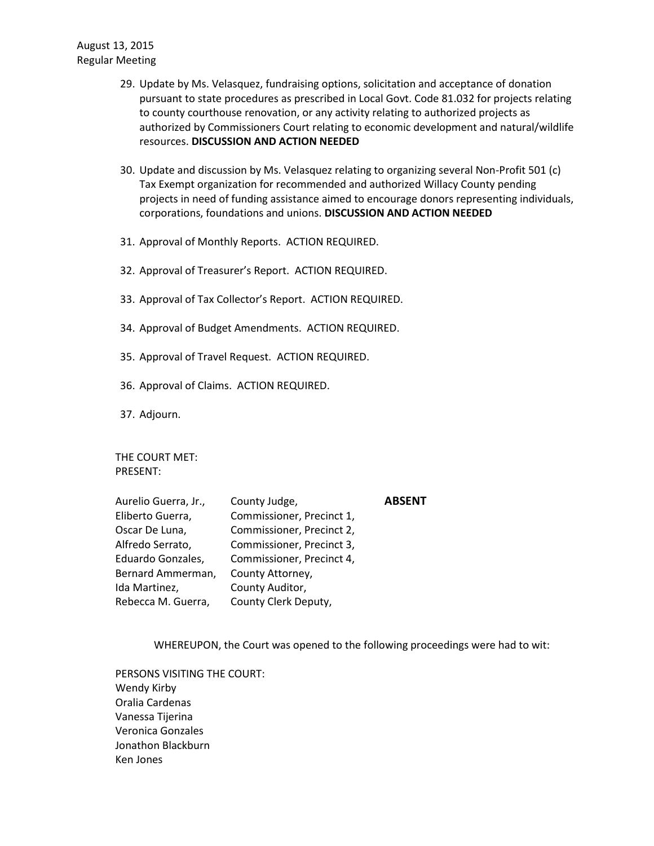- 29. Update by Ms. Velasquez, fundraising options, solicitation and acceptance of donation pursuant to state procedures as prescribed in Local Govt. Code 81.032 for projects relating to county courthouse renovation, or any activity relating to authorized projects as authorized by Commissioners Court relating to economic development and natural/wildlife resources. **DISCUSSION AND ACTION NEEDED**
- 30. Update and discussion by Ms. Velasquez relating to organizing several Non-Profit 501 (c) Tax Exempt organization for recommended and authorized Willacy County pending projects in need of funding assistance aimed to encourage donors representing individuals, corporations, foundations and unions. **DISCUSSION AND ACTION NEEDED**
- 31. Approval of Monthly Reports. ACTION REQUIRED.
- 32. Approval of Treasurer's Report. ACTION REQUIRED.
- 33. Approval of Tax Collector's Report. ACTION REQUIRED.
- 34. Approval of Budget Amendments. ACTION REQUIRED.
- 35. Approval of Travel Request. ACTION REQUIRED.
- 36. Approval of Claims. ACTION REQUIRED.
- 37. Adjourn.

THE COURT MET: PRESENT:

| County Judge,             | <b>ABSENT</b> |
|---------------------------|---------------|
| Commissioner, Precinct 1, |               |
| Commissioner, Precinct 2, |               |
| Commissioner, Precinct 3, |               |
| Commissioner, Precinct 4, |               |
| County Attorney,          |               |
| County Auditor,           |               |
| County Clerk Deputy,      |               |
|                           |               |

WHEREUPON, the Court was opened to the following proceedings were had to wit:

PERSONS VISITING THE COURT: Wendy Kirby Oralia Cardenas Vanessa Tijerina Veronica Gonzales Jonathon Blackburn Ken Jones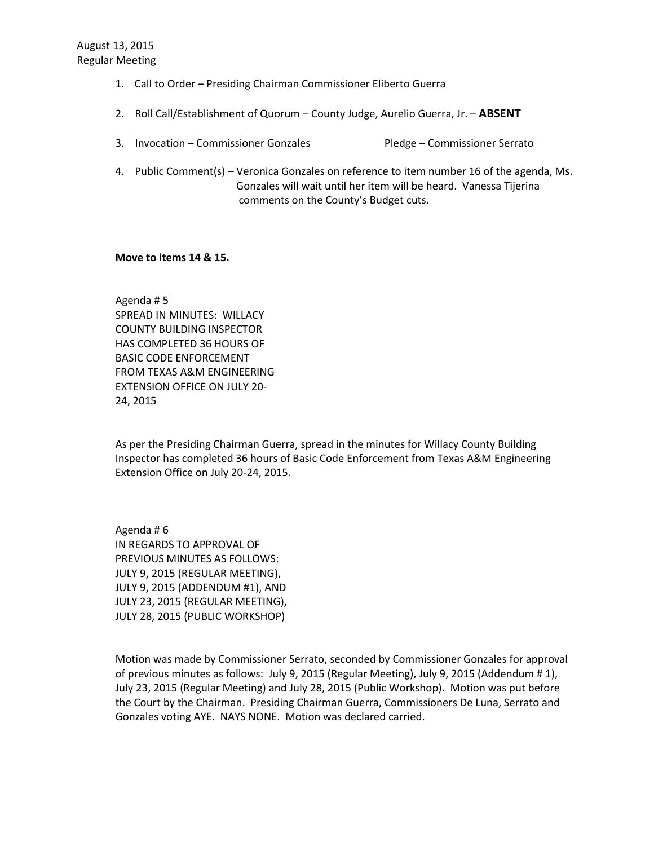- 1. Call to Order Presiding Chairman Commissioner Eliberto Guerra
- 2. Roll Call/Establishment of Quorum County Judge, Aurelio Guerra, Jr. **ABSENT**
- 3. Invocation Commissioner Gonzales Pledge Commissioner Serrato
- 4. Public Comment(s) Veronica Gonzales on reference to item number 16 of the agenda, Ms. Gonzales will wait until her item will be heard. Vanessa Tijerina comments on the County's Budget cuts.

## **Move to items 14 & 15.**

Agenda # 5 SPREAD IN MINUTES: WILLACY COUNTY BUILDING INSPECTOR HAS COMPLETED 36 HOURS OF BASIC CODE ENFORCEMENT FROM TEXAS A&M ENGINEERING EXTENSION OFFICE ON JULY 20- 24, 2015

As per the Presiding Chairman Guerra, spread in the minutes for Willacy County Building Inspector has completed 36 hours of Basic Code Enforcement from Texas A&M Engineering Extension Office on July 20-24, 2015.

Agenda # 6 IN REGARDS TO APPROVAL OF PREVIOUS MINUTES AS FOLLOWS: JULY 9, 2015 (REGULAR MEETING), JULY 9, 2015 (ADDENDUM #1), AND JULY 23, 2015 (REGULAR MEETING), JULY 28, 2015 (PUBLIC WORKSHOP)

Motion was made by Commissioner Serrato, seconded by Commissioner Gonzales for approval of previous minutes as follows: July 9, 2015 (Regular Meeting), July 9, 2015 (Addendum # 1), July 23, 2015 (Regular Meeting) and July 28, 2015 (Public Workshop). Motion was put before the Court by the Chairman. Presiding Chairman Guerra, Commissioners De Luna, Serrato and Gonzales voting AYE. NAYS NONE. Motion was declared carried.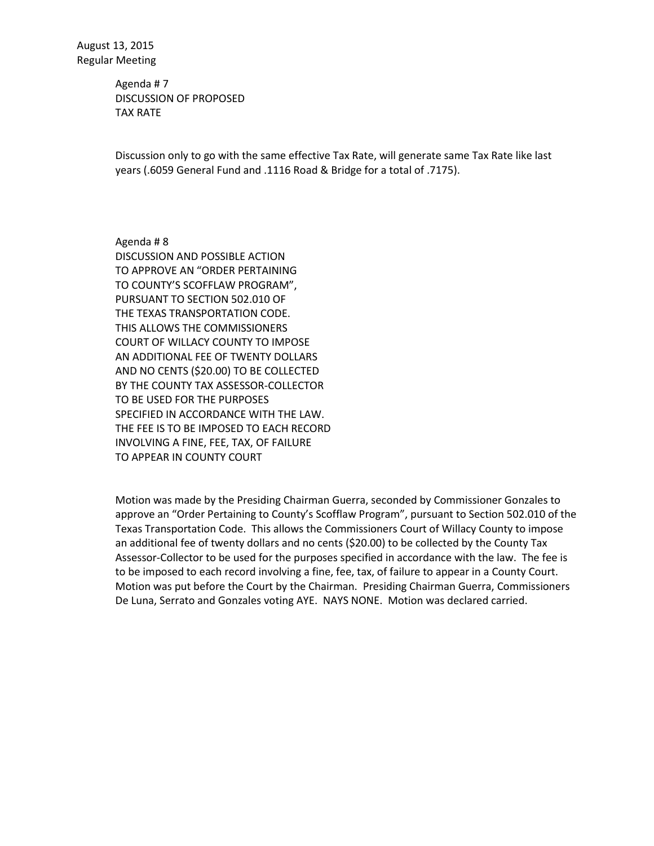Agenda # 7 DISCUSSION OF PROPOSED TAX RATE

Discussion only to go with the same effective Tax Rate, will generate same Tax Rate like last years (.6059 General Fund and .1116 Road & Bridge for a total of .7175).

Agenda # 8 DISCUSSION AND POSSIBLE ACTION TO APPROVE AN "ORDER PERTAINING TO COUNTY'S SCOFFLAW PROGRAM", PURSUANT TO SECTION 502.010 OF THE TEXAS TRANSPORTATION CODE. THIS ALLOWS THE COMMISSIONERS COURT OF WILLACY COUNTY TO IMPOSE AN ADDITIONAL FEE OF TWENTY DOLLARS AND NO CENTS (\$20.00) TO BE COLLECTED BY THE COUNTY TAX ASSESSOR-COLLECTOR TO BE USED FOR THE PURPOSES SPECIFIED IN ACCORDANCE WITH THE LAW. THE FEE IS TO BE IMPOSED TO EACH RECORD INVOLVING A FINE, FEE, TAX, OF FAILURE TO APPEAR IN COUNTY COURT

Motion was made by the Presiding Chairman Guerra, seconded by Commissioner Gonzales to approve an "Order Pertaining to County's Scofflaw Program", pursuant to Section 502.010 of the Texas Transportation Code. This allows the Commissioners Court of Willacy County to impose an additional fee of twenty dollars and no cents (\$20.00) to be collected by the County Tax Assessor-Collector to be used for the purposes specified in accordance with the law. The fee is to be imposed to each record involving a fine, fee, tax, of failure to appear in a County Court. Motion was put before the Court by the Chairman. Presiding Chairman Guerra, Commissioners De Luna, Serrato and Gonzales voting AYE. NAYS NONE. Motion was declared carried.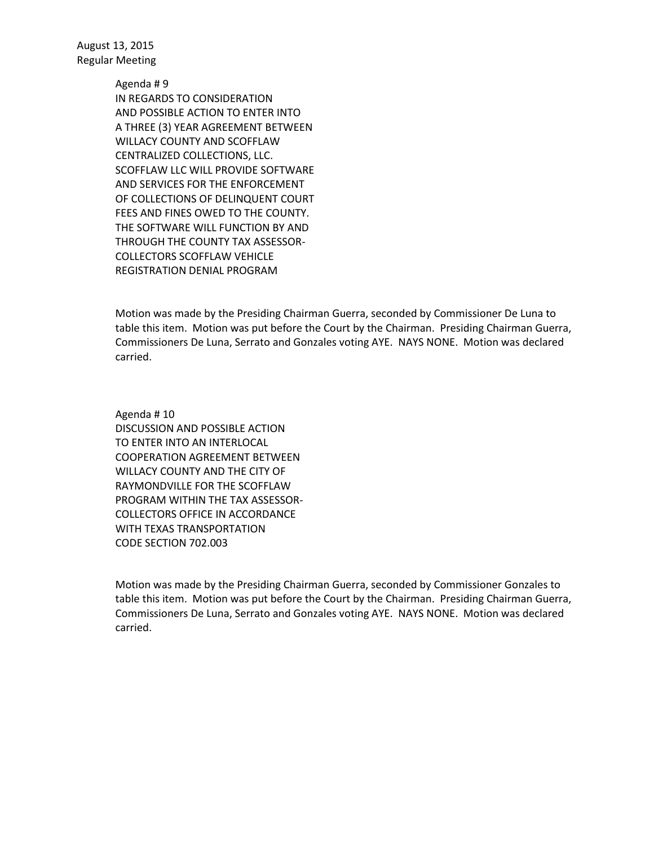Agenda # 9

IN REGARDS TO CONSIDERATION AND POSSIBLE ACTION TO ENTER INTO A THREE (3) YEAR AGREEMENT BETWEEN WILLACY COUNTY AND SCOFFLAW CENTRALIZED COLLECTIONS, LLC. SCOFFLAW LLC WILL PROVIDE SOFTWARE AND SERVICES FOR THE ENFORCEMENT OF COLLECTIONS OF DELINQUENT COURT FEES AND FINES OWED TO THE COUNTY. THE SOFTWARE WILL FUNCTION BY AND THROUGH THE COUNTY TAX ASSESSOR-COLLECTORS SCOFFLAW VEHICLE REGISTRATION DENIAL PROGRAM

Motion was made by the Presiding Chairman Guerra, seconded by Commissioner De Luna to table this item. Motion was put before the Court by the Chairman. Presiding Chairman Guerra, Commissioners De Luna, Serrato and Gonzales voting AYE. NAYS NONE. Motion was declared carried.

Agenda # 10 DISCUSSION AND POSSIBLE ACTION TO ENTER INTO AN INTERLOCAL COOPERATION AGREEMENT BETWEEN WILLACY COUNTY AND THE CITY OF RAYMONDVILLE FOR THE SCOFFLAW PROGRAM WITHIN THE TAX ASSESSOR-COLLECTORS OFFICE IN ACCORDANCE WITH TEXAS TRANSPORTATION CODE SECTION 702.003

Motion was made by the Presiding Chairman Guerra, seconded by Commissioner Gonzales to table this item. Motion was put before the Court by the Chairman. Presiding Chairman Guerra, Commissioners De Luna, Serrato and Gonzales voting AYE. NAYS NONE. Motion was declared carried.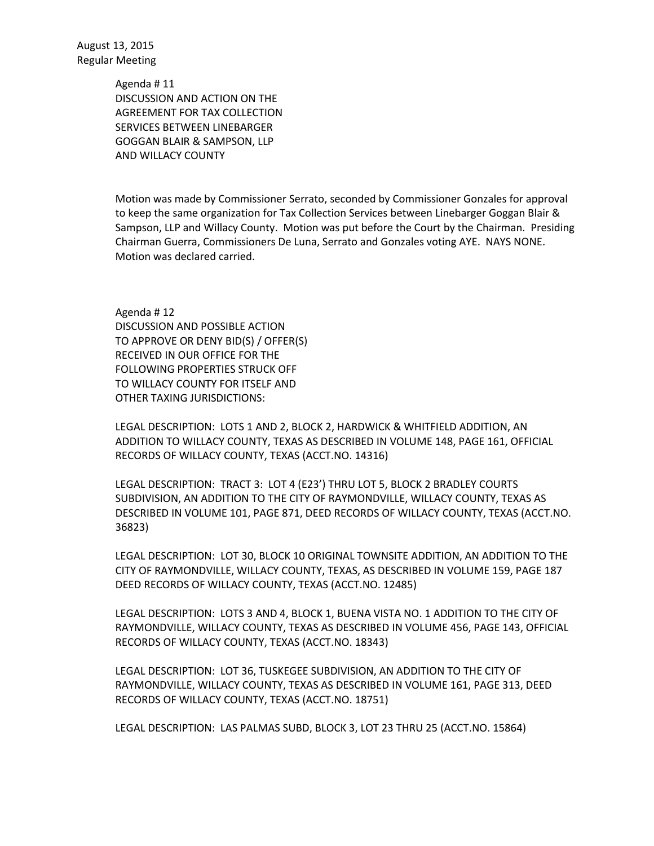> Agenda # 11 DISCUSSION AND ACTION ON THE AGREEMENT FOR TAX COLLECTION SERVICES BETWEEN LINEBARGER GOGGAN BLAIR & SAMPSON, LLP AND WILLACY COUNTY

Motion was made by Commissioner Serrato, seconded by Commissioner Gonzales for approval to keep the same organization for Tax Collection Services between Linebarger Goggan Blair & Sampson, LLP and Willacy County. Motion was put before the Court by the Chairman. Presiding Chairman Guerra, Commissioners De Luna, Serrato and Gonzales voting AYE. NAYS NONE. Motion was declared carried.

Agenda # 12 DISCUSSION AND POSSIBLE ACTION TO APPROVE OR DENY BID(S) / OFFER(S) RECEIVED IN OUR OFFICE FOR THE FOLLOWING PROPERTIES STRUCK OFF TO WILLACY COUNTY FOR ITSELF AND OTHER TAXING JURISDICTIONS:

LEGAL DESCRIPTION: LOTS 1 AND 2, BLOCK 2, HARDWICK & WHITFIELD ADDITION, AN ADDITION TO WILLACY COUNTY, TEXAS AS DESCRIBED IN VOLUME 148, PAGE 161, OFFICIAL RECORDS OF WILLACY COUNTY, TEXAS (ACCT.NO. 14316)

LEGAL DESCRIPTION: TRACT 3: LOT 4 (E23') THRU LOT 5, BLOCK 2 BRADLEY COURTS SUBDIVISION, AN ADDITION TO THE CITY OF RAYMONDVILLE, WILLACY COUNTY, TEXAS AS DESCRIBED IN VOLUME 101, PAGE 871, DEED RECORDS OF WILLACY COUNTY, TEXAS (ACCT.NO. 36823)

LEGAL DESCRIPTION: LOT 30, BLOCK 10 ORIGINAL TOWNSITE ADDITION, AN ADDITION TO THE CITY OF RAYMONDVILLE, WILLACY COUNTY, TEXAS, AS DESCRIBED IN VOLUME 159, PAGE 187 DEED RECORDS OF WILLACY COUNTY, TEXAS (ACCT.NO. 12485)

LEGAL DESCRIPTION: LOTS 3 AND 4, BLOCK 1, BUENA VISTA NO. 1 ADDITION TO THE CITY OF RAYMONDVILLE, WILLACY COUNTY, TEXAS AS DESCRIBED IN VOLUME 456, PAGE 143, OFFICIAL RECORDS OF WILLACY COUNTY, TEXAS (ACCT.NO. 18343)

LEGAL DESCRIPTION: LOT 36, TUSKEGEE SUBDIVISION, AN ADDITION TO THE CITY OF RAYMONDVILLE, WILLACY COUNTY, TEXAS AS DESCRIBED IN VOLUME 161, PAGE 313, DEED RECORDS OF WILLACY COUNTY, TEXAS (ACCT.NO. 18751)

LEGAL DESCRIPTION: LAS PALMAS SUBD, BLOCK 3, LOT 23 THRU 25 (ACCT.NO. 15864)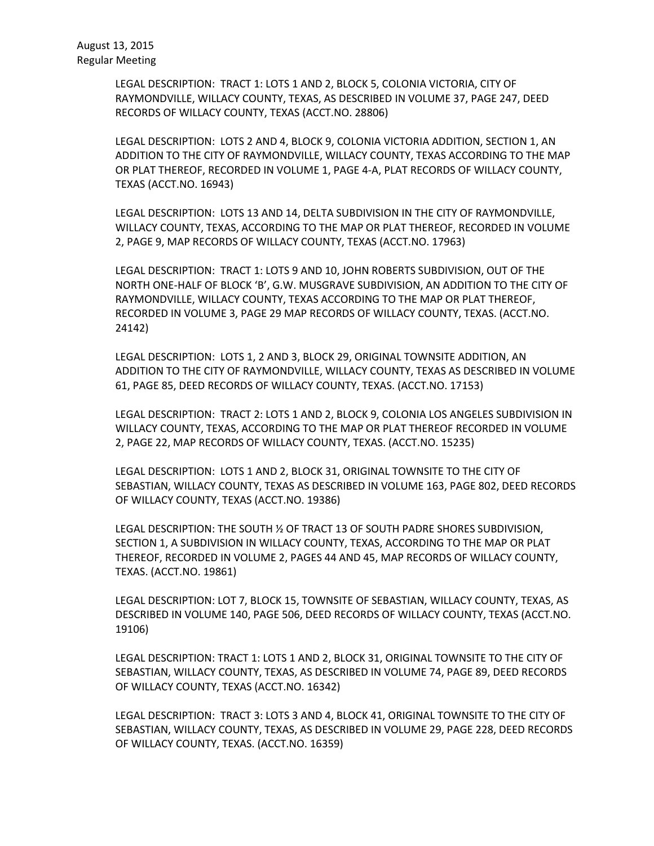LEGAL DESCRIPTION: TRACT 1: LOTS 1 AND 2, BLOCK 5, COLONIA VICTORIA, CITY OF RAYMONDVILLE, WILLACY COUNTY, TEXAS, AS DESCRIBED IN VOLUME 37, PAGE 247, DEED RECORDS OF WILLACY COUNTY, TEXAS (ACCT.NO. 28806)

LEGAL DESCRIPTION: LOTS 2 AND 4, BLOCK 9, COLONIA VICTORIA ADDITION, SECTION 1, AN ADDITION TO THE CITY OF RAYMONDVILLE, WILLACY COUNTY, TEXAS ACCORDING TO THE MAP OR PLAT THEREOF, RECORDED IN VOLUME 1, PAGE 4-A, PLAT RECORDS OF WILLACY COUNTY, TEXAS (ACCT.NO. 16943)

LEGAL DESCRIPTION: LOTS 13 AND 14, DELTA SUBDIVISION IN THE CITY OF RAYMONDVILLE, WILLACY COUNTY, TEXAS, ACCORDING TO THE MAP OR PLAT THEREOF, RECORDED IN VOLUME 2, PAGE 9, MAP RECORDS OF WILLACY COUNTY, TEXAS (ACCT.NO. 17963)

LEGAL DESCRIPTION: TRACT 1: LOTS 9 AND 10, JOHN ROBERTS SUBDIVISION, OUT OF THE NORTH ONE-HALF OF BLOCK 'B', G.W. MUSGRAVE SUBDIVISION, AN ADDITION TO THE CITY OF RAYMONDVILLE, WILLACY COUNTY, TEXAS ACCORDING TO THE MAP OR PLAT THEREOF, RECORDED IN VOLUME 3, PAGE 29 MAP RECORDS OF WILLACY COUNTY, TEXAS. (ACCT.NO. 24142)

LEGAL DESCRIPTION: LOTS 1, 2 AND 3, BLOCK 29, ORIGINAL TOWNSITE ADDITION, AN ADDITION TO THE CITY OF RAYMONDVILLE, WILLACY COUNTY, TEXAS AS DESCRIBED IN VOLUME 61, PAGE 85, DEED RECORDS OF WILLACY COUNTY, TEXAS. (ACCT.NO. 17153)

LEGAL DESCRIPTION: TRACT 2: LOTS 1 AND 2, BLOCK 9, COLONIA LOS ANGELES SUBDIVISION IN WILLACY COUNTY, TEXAS, ACCORDING TO THE MAP OR PLAT THEREOF RECORDED IN VOLUME 2, PAGE 22, MAP RECORDS OF WILLACY COUNTY, TEXAS. (ACCT.NO. 15235)

LEGAL DESCRIPTION: LOTS 1 AND 2, BLOCK 31, ORIGINAL TOWNSITE TO THE CITY OF SEBASTIAN, WILLACY COUNTY, TEXAS AS DESCRIBED IN VOLUME 163, PAGE 802, DEED RECORDS OF WILLACY COUNTY, TEXAS (ACCT.NO. 19386)

LEGAL DESCRIPTION: THE SOUTH ½ OF TRACT 13 OF SOUTH PADRE SHORES SUBDIVISION, SECTION 1, A SUBDIVISION IN WILLACY COUNTY, TEXAS, ACCORDING TO THE MAP OR PLAT THEREOF, RECORDED IN VOLUME 2, PAGES 44 AND 45, MAP RECORDS OF WILLACY COUNTY, TEXAS. (ACCT.NO. 19861)

LEGAL DESCRIPTION: LOT 7, BLOCK 15, TOWNSITE OF SEBASTIAN, WILLACY COUNTY, TEXAS, AS DESCRIBED IN VOLUME 140, PAGE 506, DEED RECORDS OF WILLACY COUNTY, TEXAS (ACCT.NO. 19106)

LEGAL DESCRIPTION: TRACT 1: LOTS 1 AND 2, BLOCK 31, ORIGINAL TOWNSITE TO THE CITY OF SEBASTIAN, WILLACY COUNTY, TEXAS, AS DESCRIBED IN VOLUME 74, PAGE 89, DEED RECORDS OF WILLACY COUNTY, TEXAS (ACCT.NO. 16342)

LEGAL DESCRIPTION: TRACT 3: LOTS 3 AND 4, BLOCK 41, ORIGINAL TOWNSITE TO THE CITY OF SEBASTIAN, WILLACY COUNTY, TEXAS, AS DESCRIBED IN VOLUME 29, PAGE 228, DEED RECORDS OF WILLACY COUNTY, TEXAS. (ACCT.NO. 16359)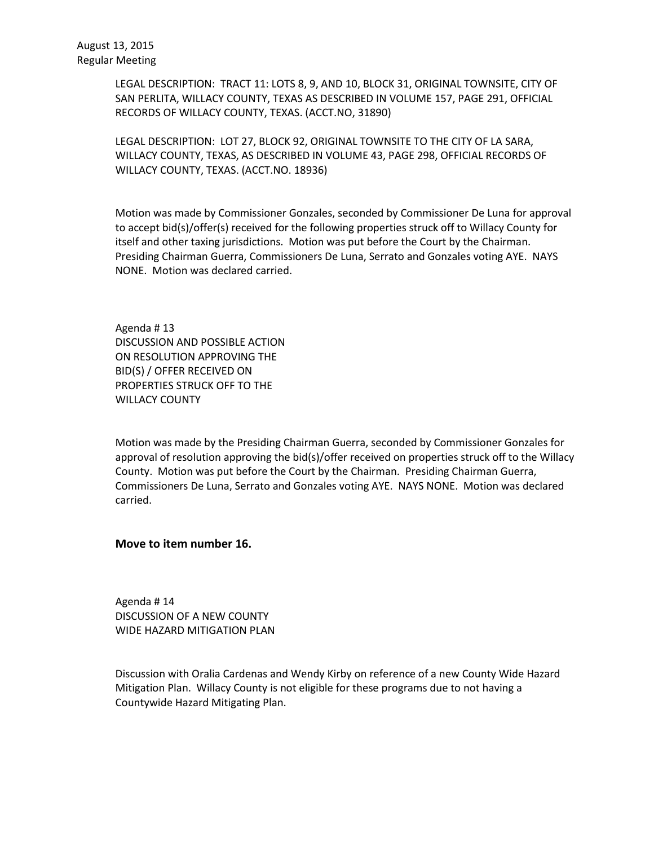LEGAL DESCRIPTION: TRACT 11: LOTS 8, 9, AND 10, BLOCK 31, ORIGINAL TOWNSITE, CITY OF SAN PERLITA, WILLACY COUNTY, TEXAS AS DESCRIBED IN VOLUME 157, PAGE 291, OFFICIAL RECORDS OF WILLACY COUNTY, TEXAS. (ACCT.NO, 31890)

LEGAL DESCRIPTION: LOT 27, BLOCK 92, ORIGINAL TOWNSITE TO THE CITY OF LA SARA, WILLACY COUNTY, TEXAS, AS DESCRIBED IN VOLUME 43, PAGE 298, OFFICIAL RECORDS OF WILLACY COUNTY, TEXAS. (ACCT.NO. 18936)

Motion was made by Commissioner Gonzales, seconded by Commissioner De Luna for approval to accept bid(s)/offer(s) received for the following properties struck off to Willacy County for itself and other taxing jurisdictions. Motion was put before the Court by the Chairman. Presiding Chairman Guerra, Commissioners De Luna, Serrato and Gonzales voting AYE. NAYS NONE. Motion was declared carried.

Agenda # 13 DISCUSSION AND POSSIBLE ACTION ON RESOLUTION APPROVING THE BID(S) / OFFER RECEIVED ON PROPERTIES STRUCK OFF TO THE WILLACY COUNTY

Motion was made by the Presiding Chairman Guerra, seconded by Commissioner Gonzales for approval of resolution approving the bid(s)/offer received on properties struck off to the Willacy County. Motion was put before the Court by the Chairman. Presiding Chairman Guerra, Commissioners De Luna, Serrato and Gonzales voting AYE. NAYS NONE. Motion was declared carried.

**Move to item number 16.**

Agenda # 14 DISCUSSION OF A NEW COUNTY WIDE HAZARD MITIGATION PLAN

Discussion with Oralia Cardenas and Wendy Kirby on reference of a new County Wide Hazard Mitigation Plan. Willacy County is not eligible for these programs due to not having a Countywide Hazard Mitigating Plan.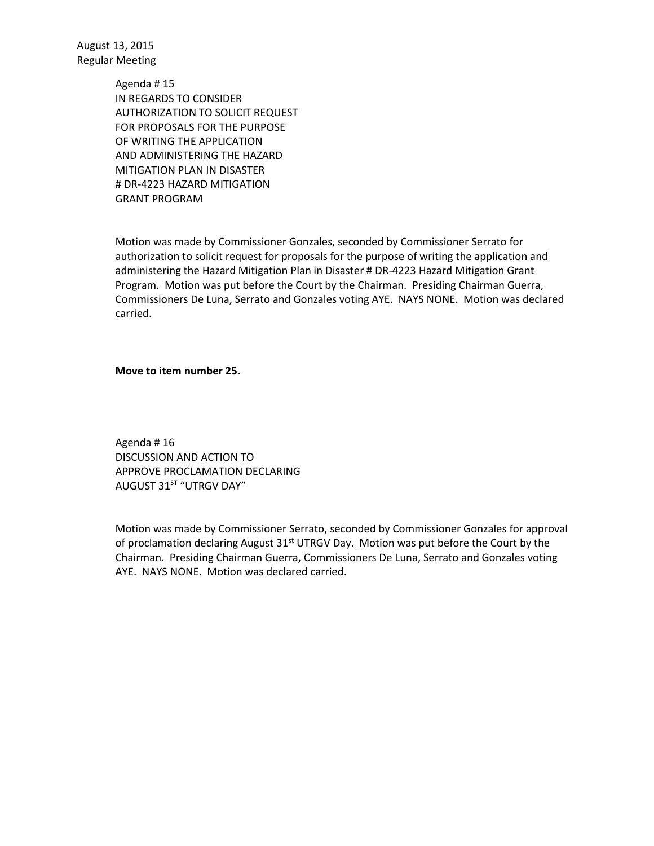> Agenda # 15 IN REGARDS TO CONSIDER AUTHORIZATION TO SOLICIT REQUEST FOR PROPOSALS FOR THE PURPOSE OF WRITING THE APPLICATION AND ADMINISTERING THE HAZARD MITIGATION PLAN IN DISASTER # DR-4223 HAZARD MITIGATION GRANT PROGRAM

Motion was made by Commissioner Gonzales, seconded by Commissioner Serrato for authorization to solicit request for proposals for the purpose of writing the application and administering the Hazard Mitigation Plan in Disaster # DR-4223 Hazard Mitigation Grant Program. Motion was put before the Court by the Chairman. Presiding Chairman Guerra, Commissioners De Luna, Serrato and Gonzales voting AYE. NAYS NONE. Motion was declared carried.

**Move to item number 25.**

Agenda # 16 DISCUSSION AND ACTION TO APPROVE PROCLAMATION DECLARING AUGUST 31<sup>ST</sup> "UTRGV DAY"

Motion was made by Commissioner Serrato, seconded by Commissioner Gonzales for approval of proclamation declaring August  $31^{st}$  UTRGV Day. Motion was put before the Court by the Chairman. Presiding Chairman Guerra, Commissioners De Luna, Serrato and Gonzales voting AYE. NAYS NONE. Motion was declared carried.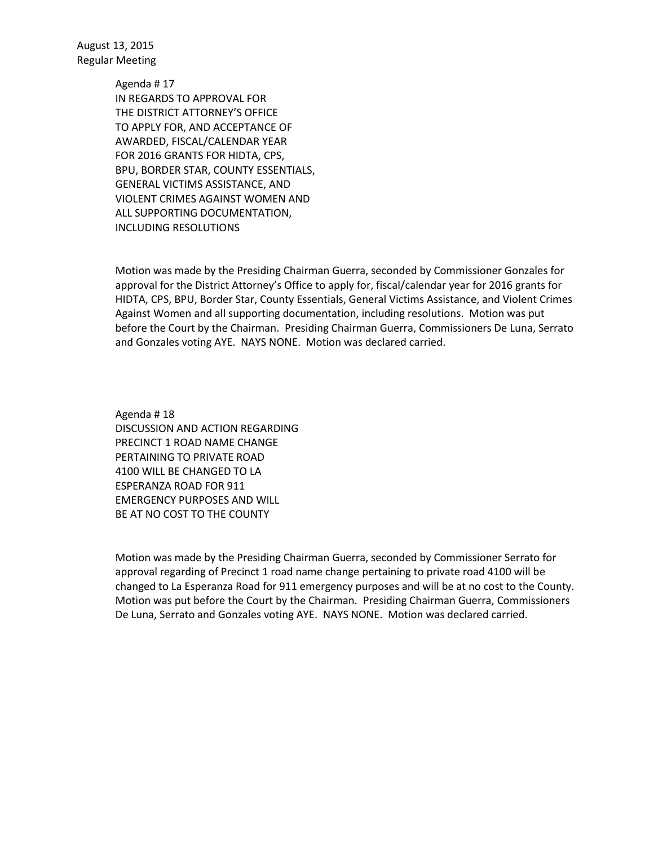> Agenda # 17 IN REGARDS TO APPROVAL FOR THE DISTRICT ATTORNEY'S OFFICE TO APPLY FOR, AND ACCEPTANCE OF AWARDED, FISCAL/CALENDAR YEAR FOR 2016 GRANTS FOR HIDTA, CPS, BPU, BORDER STAR, COUNTY ESSENTIALS, GENERAL VICTIMS ASSISTANCE, AND VIOLENT CRIMES AGAINST WOMEN AND ALL SUPPORTING DOCUMENTATION, INCLUDING RESOLUTIONS

Motion was made by the Presiding Chairman Guerra, seconded by Commissioner Gonzales for approval for the District Attorney's Office to apply for, fiscal/calendar year for 2016 grants for HIDTA, CPS, BPU, Border Star, County Essentials, General Victims Assistance, and Violent Crimes Against Women and all supporting documentation, including resolutions. Motion was put before the Court by the Chairman. Presiding Chairman Guerra, Commissioners De Luna, Serrato and Gonzales voting AYE. NAYS NONE. Motion was declared carried.

Agenda # 18 DISCUSSION AND ACTION REGARDING PRECINCT 1 ROAD NAME CHANGE PERTAINING TO PRIVATE ROAD 4100 WILL BE CHANGED TO LA ESPERANZA ROAD FOR 911 EMERGENCY PURPOSES AND WILL BE AT NO COST TO THE COUNTY

Motion was made by the Presiding Chairman Guerra, seconded by Commissioner Serrato for approval regarding of Precinct 1 road name change pertaining to private road 4100 will be changed to La Esperanza Road for 911 emergency purposes and will be at no cost to the County. Motion was put before the Court by the Chairman. Presiding Chairman Guerra, Commissioners De Luna, Serrato and Gonzales voting AYE. NAYS NONE. Motion was declared carried.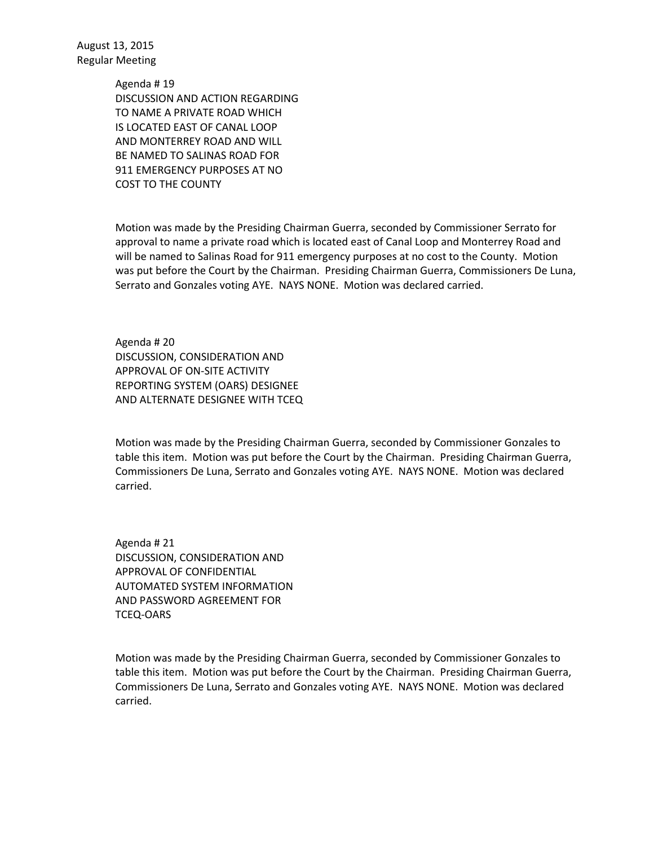> Agenda # 19 DISCUSSION AND ACTION REGARDING TO NAME A PRIVATE ROAD WHICH IS LOCATED EAST OF CANAL LOOP AND MONTERREY ROAD AND WILL BE NAMED TO SALINAS ROAD FOR 911 EMERGENCY PURPOSES AT NO COST TO THE COUNTY

Motion was made by the Presiding Chairman Guerra, seconded by Commissioner Serrato for approval to name a private road which is located east of Canal Loop and Monterrey Road and will be named to Salinas Road for 911 emergency purposes at no cost to the County. Motion was put before the Court by the Chairman. Presiding Chairman Guerra, Commissioners De Luna, Serrato and Gonzales voting AYE. NAYS NONE. Motion was declared carried.

Agenda # 20 DISCUSSION, CONSIDERATION AND APPROVAL OF ON-SITE ACTIVITY REPORTING SYSTEM (OARS) DESIGNEE AND ALTERNATE DESIGNEE WITH TCEQ

Motion was made by the Presiding Chairman Guerra, seconded by Commissioner Gonzales to table this item. Motion was put before the Court by the Chairman. Presiding Chairman Guerra, Commissioners De Luna, Serrato and Gonzales voting AYE. NAYS NONE. Motion was declared carried.

Agenda # 21 DISCUSSION, CONSIDERATION AND APPROVAL OF CONFIDENTIAL AUTOMATED SYSTEM INFORMATION AND PASSWORD AGREEMENT FOR TCEQ-OARS

Motion was made by the Presiding Chairman Guerra, seconded by Commissioner Gonzales to table this item. Motion was put before the Court by the Chairman. Presiding Chairman Guerra, Commissioners De Luna, Serrato and Gonzales voting AYE. NAYS NONE. Motion was declared carried.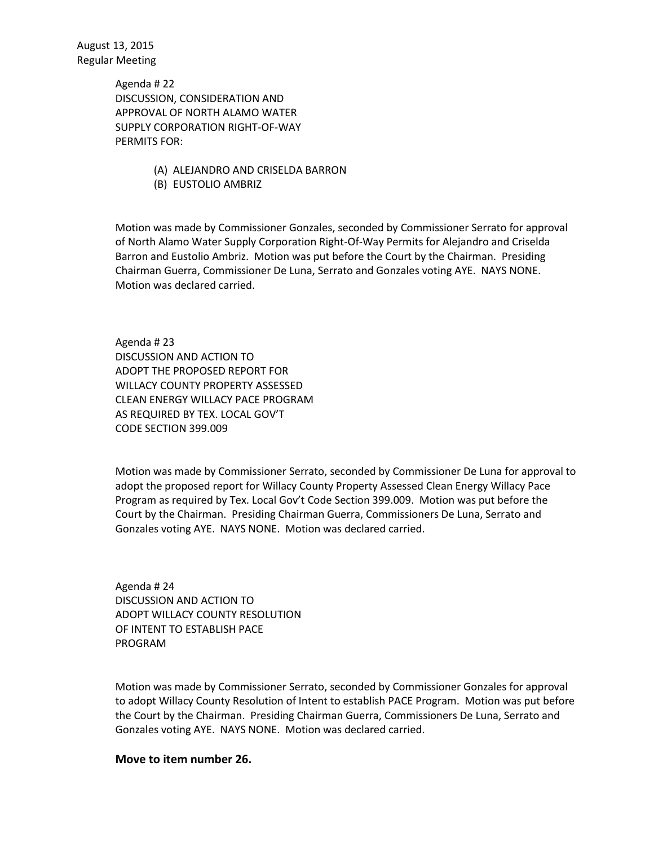> Agenda # 22 DISCUSSION, CONSIDERATION AND APPROVAL OF NORTH ALAMO WATER SUPPLY CORPORATION RIGHT-OF-WAY PERMITS FOR:

- (A) ALEJANDRO AND CRISELDA BARRON
- (B) EUSTOLIO AMBRIZ

Motion was made by Commissioner Gonzales, seconded by Commissioner Serrato for approval of North Alamo Water Supply Corporation Right-Of-Way Permits for Alejandro and Criselda Barron and Eustolio Ambriz. Motion was put before the Court by the Chairman. Presiding Chairman Guerra, Commissioner De Luna, Serrato and Gonzales voting AYE. NAYS NONE. Motion was declared carried.

Agenda # 23 DISCUSSION AND ACTION TO ADOPT THE PROPOSED REPORT FOR WILLACY COUNTY PROPERTY ASSESSED CLEAN ENERGY WILLACY PACE PROGRAM AS REQUIRED BY TEX. LOCAL GOV'T CODE SECTION 399.009

Motion was made by Commissioner Serrato, seconded by Commissioner De Luna for approval to adopt the proposed report for Willacy County Property Assessed Clean Energy Willacy Pace Program as required by Tex. Local Gov't Code Section 399.009. Motion was put before the Court by the Chairman. Presiding Chairman Guerra, Commissioners De Luna, Serrato and Gonzales voting AYE. NAYS NONE. Motion was declared carried.

Agenda # 24 DISCUSSION AND ACTION TO ADOPT WILLACY COUNTY RESOLUTION OF INTENT TO ESTABLISH PACE PROGRAM

Motion was made by Commissioner Serrato, seconded by Commissioner Gonzales for approval to adopt Willacy County Resolution of Intent to establish PACE Program. Motion was put before the Court by the Chairman. Presiding Chairman Guerra, Commissioners De Luna, Serrato and Gonzales voting AYE. NAYS NONE. Motion was declared carried.

**Move to item number 26.**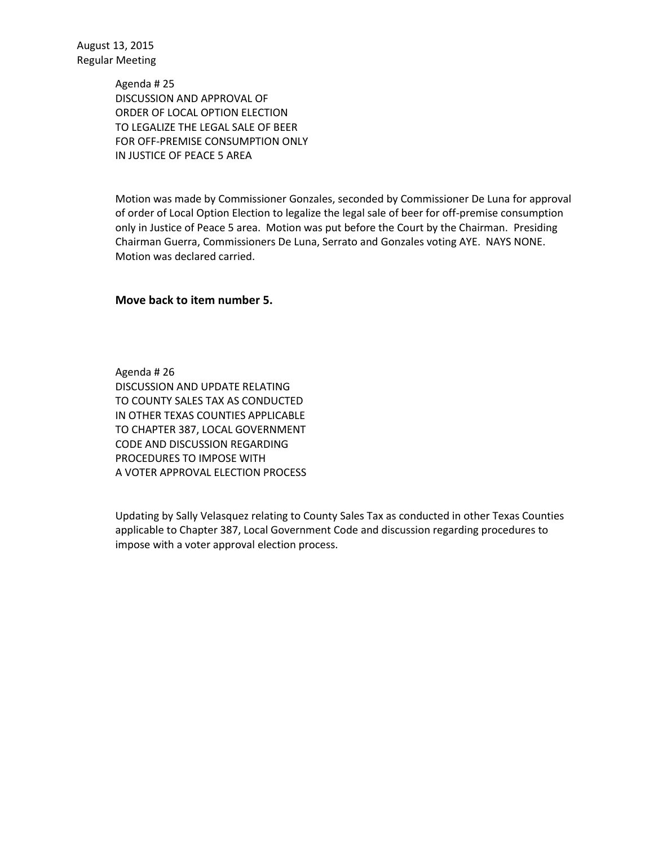> Agenda # 25 DISCUSSION AND APPROVAL OF ORDER OF LOCAL OPTION ELECTION TO LEGALIZE THE LEGAL SALE OF BEER FOR OFF-PREMISE CONSUMPTION ONLY IN JUSTICE OF PEACE 5 AREA

Motion was made by Commissioner Gonzales, seconded by Commissioner De Luna for approval of order of Local Option Election to legalize the legal sale of beer for off-premise consumption only in Justice of Peace 5 area. Motion was put before the Court by the Chairman. Presiding Chairman Guerra, Commissioners De Luna, Serrato and Gonzales voting AYE. NAYS NONE. Motion was declared carried.

## **Move back to item number 5.**

Agenda # 26 DISCUSSION AND UPDATE RELATING TO COUNTY SALES TAX AS CONDUCTED IN OTHER TEXAS COUNTIES APPLICABLE TO CHAPTER 387, LOCAL GOVERNMENT CODE AND DISCUSSION REGARDING PROCEDURES TO IMPOSE WITH A VOTER APPROVAL ELECTION PROCESS

Updating by Sally Velasquez relating to County Sales Tax as conducted in other Texas Counties applicable to Chapter 387, Local Government Code and discussion regarding procedures to impose with a voter approval election process.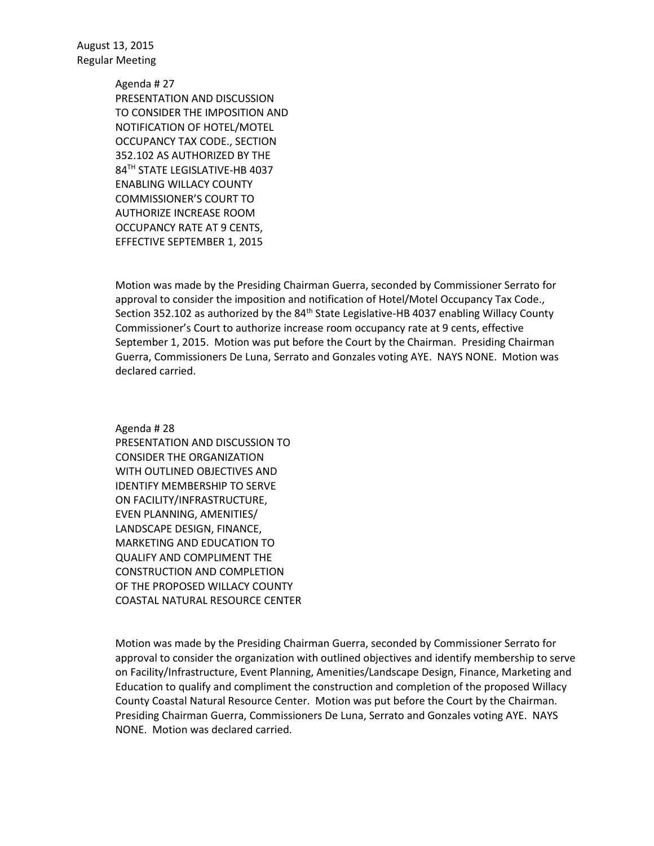> Agenda # 27 PRESENTATION AND DISCUSSION TO CONSIDER THE IMPOSITION AND NOTIFICATION OF HOTEL/MOTEL OCCUPANCY TAX CODE., SECTION 352.102 AS AUTHORIZED BY THE 84TH STATE LEGISLATIVE-HB 4037 ENABLING WILLACY COUNTY COMMISSIONER'S COURT TO AUTHORIZE INCREASE ROOM OCCUPANCY RATE AT 9 CENTS, EFFECTIVE SEPTEMBER 1, 2015

Motion was made by the Presiding Chairman Guerra, seconded by Commissioner Serrato for approval to consider the imposition and notification of Hotel/Motel Occupancy Tax Code., Section 352.102 as authorized by the 84<sup>th</sup> State Legislative-HB 4037 enabling Willacy County Commissioner's Court to authorize increase room occupancy rate at 9 cents, effective September 1, 2015. Motion was put before the Court by the Chairman. Presiding Chairman Guerra, Commissioners De Luna, Serrato and Gonzales voting AYE. NAYS NONE. Motion was declared carried.

Agenda # 28

PRESENTATION AND DISCUSSION TO CONSIDER THE ORGANIZATION WITH OUTLINED OBJECTIVES AND IDENTIFY MEMBERSHIP TO SERVE ON FACILITY/INFRASTRUCTURE, EVEN PLANNING, AMENITIES/ LANDSCAPE DESIGN, FINANCE, MARKETING AND EDUCATION TO QUALIFY AND COMPLIMENT THE CONSTRUCTION AND COMPLETION OF THE PROPOSED WILLACY COUNTY COASTAL NATURAL RESOURCE CENTER

Motion was made by the Presiding Chairman Guerra, seconded by Commissioner Serrato for approval to consider the organization with outlined objectives and identify membership to serve on Facility/Infrastructure, Event Planning, Amenities/Landscape Design, Finance, Marketing and Education to qualify and compliment the construction and completion of the proposed Willacy County Coastal Natural Resource Center. Motion was put before the Court by the Chairman. Presiding Chairman Guerra, Commissioners De Luna, Serrato and Gonzales voting AYE. NAYS NONE. Motion was declared carried.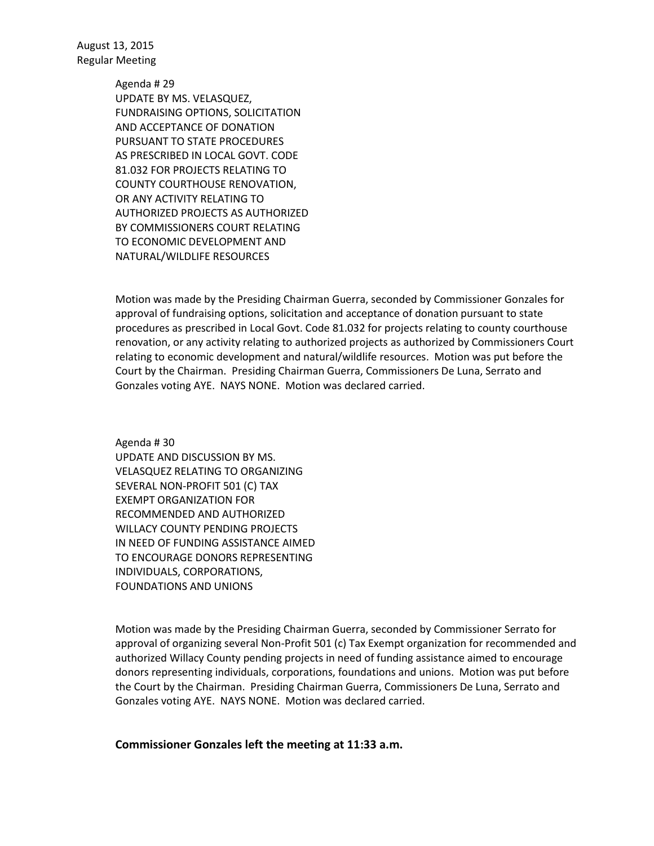> Agenda # 29 UPDATE BY MS. VELASQUEZ, FUNDRAISING OPTIONS, SOLICITATION AND ACCEPTANCE OF DONATION PURSUANT TO STATE PROCEDURES AS PRESCRIBED IN LOCAL GOVT. CODE 81.032 FOR PROJECTS RELATING TO COUNTY COURTHOUSE RENOVATION, OR ANY ACTIVITY RELATING TO AUTHORIZED PROJECTS AS AUTHORIZED BY COMMISSIONERS COURT RELATING TO ECONOMIC DEVELOPMENT AND NATURAL/WILDLIFE RESOURCES

Motion was made by the Presiding Chairman Guerra, seconded by Commissioner Gonzales for approval of fundraising options, solicitation and acceptance of donation pursuant to state procedures as prescribed in Local Govt. Code 81.032 for projects relating to county courthouse renovation, or any activity relating to authorized projects as authorized by Commissioners Court relating to economic development and natural/wildlife resources. Motion was put before the Court by the Chairman. Presiding Chairman Guerra, Commissioners De Luna, Serrato and Gonzales voting AYE. NAYS NONE. Motion was declared carried.

Agenda # 30 UPDATE AND DISCUSSION BY MS. VELASQUEZ RELATING TO ORGANIZING SEVERAL NON-PROFIT 501 (C) TAX EXEMPT ORGANIZATION FOR RECOMMENDED AND AUTHORIZED WILLACY COUNTY PENDING PROJECTS IN NEED OF FUNDING ASSISTANCE AIMED TO ENCOURAGE DONORS REPRESENTING INDIVIDUALS, CORPORATIONS, FOUNDATIONS AND UNIONS

Motion was made by the Presiding Chairman Guerra, seconded by Commissioner Serrato for approval of organizing several Non-Profit 501 (c) Tax Exempt organization for recommended and authorized Willacy County pending projects in need of funding assistance aimed to encourage donors representing individuals, corporations, foundations and unions. Motion was put before the Court by the Chairman. Presiding Chairman Guerra, Commissioners De Luna, Serrato and Gonzales voting AYE. NAYS NONE. Motion was declared carried.

## **Commissioner Gonzales left the meeting at 11:33 a.m.**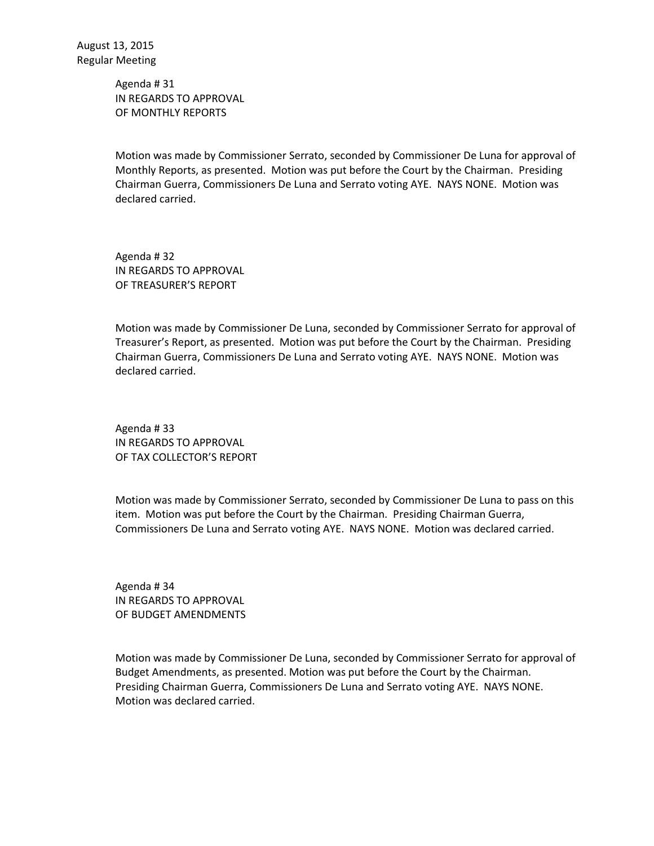Agenda # 31 IN REGARDS TO APPROVAL OF MONTHLY REPORTS

Motion was made by Commissioner Serrato, seconded by Commissioner De Luna for approval of Monthly Reports, as presented. Motion was put before the Court by the Chairman. Presiding Chairman Guerra, Commissioners De Luna and Serrato voting AYE. NAYS NONE. Motion was declared carried.

Agenda # 32 IN REGARDS TO APPROVAL OF TREASURER'S REPORT

Motion was made by Commissioner De Luna, seconded by Commissioner Serrato for approval of Treasurer's Report, as presented. Motion was put before the Court by the Chairman. Presiding Chairman Guerra, Commissioners De Luna and Serrato voting AYE. NAYS NONE. Motion was declared carried.

Agenda # 33 IN REGARDS TO APPROVAL OF TAX COLLECTOR'S REPORT

Motion was made by Commissioner Serrato, seconded by Commissioner De Luna to pass on this item. Motion was put before the Court by the Chairman. Presiding Chairman Guerra, Commissioners De Luna and Serrato voting AYE. NAYS NONE. Motion was declared carried.

Agenda # 34 IN REGARDS TO APPROVAL OF BUDGET AMENDMENTS

Motion was made by Commissioner De Luna, seconded by Commissioner Serrato for approval of Budget Amendments, as presented. Motion was put before the Court by the Chairman. Presiding Chairman Guerra, Commissioners De Luna and Serrato voting AYE. NAYS NONE. Motion was declared carried.